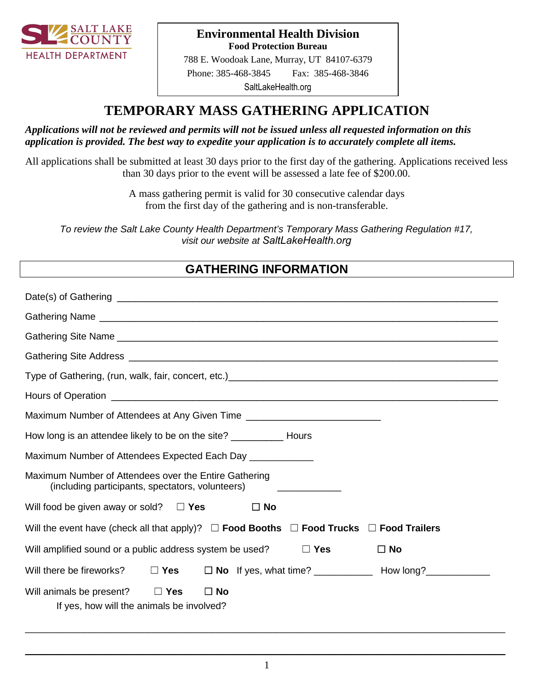

#### **Environmental Health Division Food Protection Bureau**

#\_\_\_\_\_\_\_\_\_\_\_\_\_\_\_\_ 788 E. Woodoak Lane, Murray, UT 84107-6379 Phone: 385-468-3845 Fax: 385-468-3846

[SaltLakeHealth.org](http://www.slcohealth.org/programs/foodProtection/index.html)

# **TEMPORARY MASS GATHERING APPLICATION**

#### *Applications will not be reviewed and permits will not be issued unless all requested information on this application is provided. The best way to expedite your application is to accurately complete all items.*

All applications shall be submitted at least 30 days prior to the first day of the gathering. Applications received less than 30 days prior to the event will be assessed a late fee of \$200.00.

> A mass gathering permit is valid for 30 consecutive calendar days from the first day of the gathering and is non-transferable.

*To review the Salt Lake County Health Department's Temporary Mass Gathering Regulation #17, visit our website at [SaltLakeHealth.org](http://www.slcohealth.org/envRegs/reg17tempMass.html)*

## **GATHERING INFORMATION**

| Maximum Number of Attendees at Any Given Time __________________________________                                                                          |
|-----------------------------------------------------------------------------------------------------------------------------------------------------------|
| How long is an attendee likely to be on the site? _______________ Hours                                                                                   |
| Maximum Number of Attendees Expected Each Day _____________                                                                                               |
| Maximum Number of Attendees over the Entire Gathering<br>(including participants, spectators, volunteers)<br>the control of the control of the control of |
| Will food be given away or sold? $\square$ Yes<br>$\Box$ No                                                                                               |
| Will the event have (check all that apply)? $\Box$ Food Booths $\Box$ Food Trucks $\Box$ Food Trailers                                                    |
| Will amplified sound or a public address system be used?<br>$\Box$ Yes<br>$\square$ No                                                                    |
| Will there be fireworks?                                                                                                                                  |
| Will animals be present? $\Box$ Yes<br>$\square$ No<br>If yes, how will the animals be involved?                                                          |

 $\_$  . The contribution of the contribution of the contribution of the contribution of the contribution of the contribution of the contribution of the contribution of the contribution of the contribution of the contributio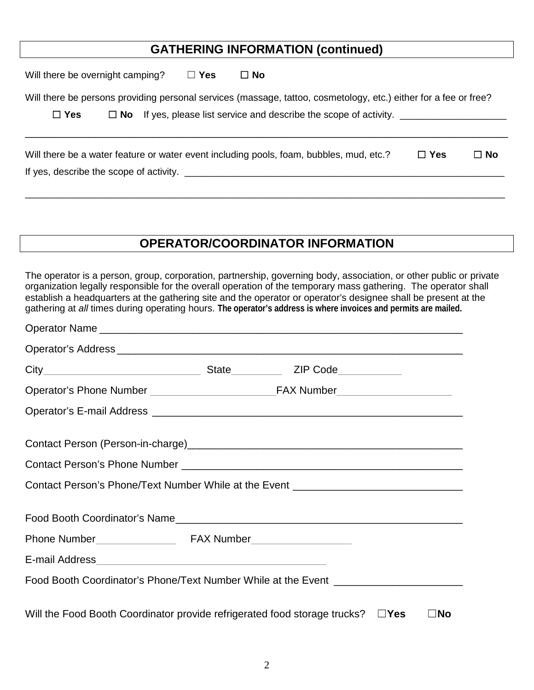## **GATHERING INFORMATION (continued)**

Will there be overnight camping? ☐ **Yes** ☐ **No**

Will there be persons providing personal services (massage, tattoo, cosmetology, etc.) either for a fee or free?

☐ **Yes** ☐ **No** If yes, please list service and describe the scope of activity. \_\_\_\_\_\_\_\_\_\_\_\_\_\_\_\_\_\_\_\_

| Will there be a water feature or water event including pools, foam, bubbles, mud, etc.? | $\Box$ Yes | $\Box$ No |
|-----------------------------------------------------------------------------------------|------------|-----------|
| If yes, describe the scope of activity.                                                 |            |           |

\_\_\_\_\_\_\_\_\_\_\_\_\_\_\_\_\_\_\_\_\_\_\_\_\_\_\_\_\_\_\_\_\_\_\_\_\_\_\_\_\_\_\_\_\_\_\_\_\_\_\_\_\_\_\_\_\_\_\_\_\_\_\_\_\_\_\_\_\_\_\_\_\_\_\_\_\_\_\_\_\_\_\_\_\_\_\_\_\_\_

\_\_\_\_\_\_\_\_\_\_\_\_\_\_\_\_\_\_\_\_\_\_\_\_\_\_\_\_\_\_\_\_\_\_\_\_\_\_\_\_\_\_\_\_\_\_\_\_\_\_\_\_\_\_\_\_\_\_\_\_\_\_\_\_\_\_\_\_\_\_\_\_\_\_\_\_\_\_\_\_\_\_\_

## **OPERATOR/COORDINATOR INFORMATION**

The operator is a person, group, corporation, partnership, governing body, association, or other public or private organization legally responsible for the overall operation of the temporary mass gathering. The operator shall establish a headquarters at the gathering site and the operator or operator's designee shall be present at the gathering at *all* times during operating hours. **The operator's address is where invoices and permits are mailed.**

| Contact Person's Phone/Text Number While at the Event __________________________        |  |              |
|-----------------------------------------------------------------------------------------|--|--------------|
|                                                                                         |  |              |
|                                                                                         |  |              |
|                                                                                         |  |              |
| Food Booth Coordinator's Phone/Text Number While at the Event __________________        |  |              |
| Will the Food Booth Coordinator provide refrigerated food storage trucks? $\square$ Yes |  | $\square$ No |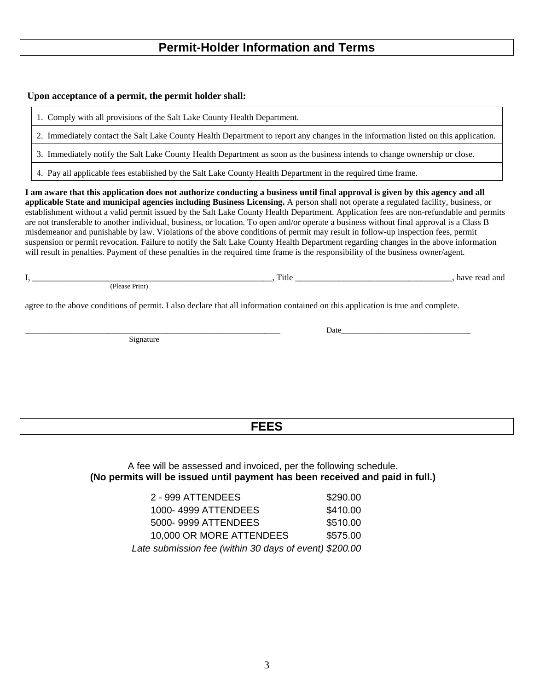#### **Permit-Holder Information and Terms**

#### **Upon acceptance of a permit, the permit holder shall:**

1. Comply with all provisions of the Salt Lake County Health Department.

2. Immediately contact the Salt Lake County Health Department to report any changes in the information listed on this application.

3. Immediately notify the Salt Lake County Health Department as soon as the business intends to change ownership or close.

4. Pay all applicable fees established by the Salt Lake County Health Department in the required time frame.

**I am aware that this application does not authorize conducting a business until final approval is given by this agency and all applicable State and municipal agencies including Business Licensing.** A person shall not operate a regulated facility, business, or establishment without a valid permit issued by the Salt Lake County Health Department. Application fees are non-refundable and permits are not transferable to another individual, business, or location. To open and/or operate a business without final approval is a Class B misdemeanor and punishable by law. Violations of the above conditions of permit may result in follow-up inspection fees, permit suspension or permit revocation. Failure to notify the Salt Lake County Health Department regarding changes in the above information will result in penalties. Payment of these penalties in the required time frame is the responsibility of the business owner/agent.

I, \_\_\_\_\_\_\_\_\_\_\_\_\_\_\_\_\_\_\_\_\_\_\_\_\_\_\_\_\_\_\_\_\_\_\_\_\_\_\_\_\_\_\_\_\_\_\_\_\_\_\_\_\_\_\_, Title \_\_\_\_\_\_\_\_\_\_\_\_\_\_\_\_\_\_\_\_\_\_\_\_\_\_\_\_\_\_\_\_\_\_\_\_, have read and (Please Print)

agree to the above conditions of permit. I also declare that all information contained on this application is true and complete.

Signature

\_\_\_\_\_\_\_\_\_\_\_\_\_\_\_\_\_\_\_\_\_\_\_\_\_\_\_\_\_\_\_\_\_\_\_\_\_\_\_\_\_\_\_\_\_\_\_\_\_\_\_\_\_\_\_\_\_\_\_\_\_\_\_\_\_ Date\_\_\_\_\_\_\_\_\_\_\_\_\_\_\_\_\_\_\_\_\_\_\_\_\_\_\_\_\_\_\_\_\_

#### **FEES**

A fee will be assessed and invoiced, per the following schedule. **(No permits will be issued until payment has been received and paid in full.)**

| 2 - 999 ATTENDEES                                      | \$290.00 |
|--------------------------------------------------------|----------|
| 1000-4999 ATTENDEES                                    | \$410.00 |
| 5000-9999 ATTENDEES                                    | \$510.00 |
| 10,000 OR MORE ATTENDEES                               | \$575.00 |
| Late submission fee (within 30 days of event) \$200.00 |          |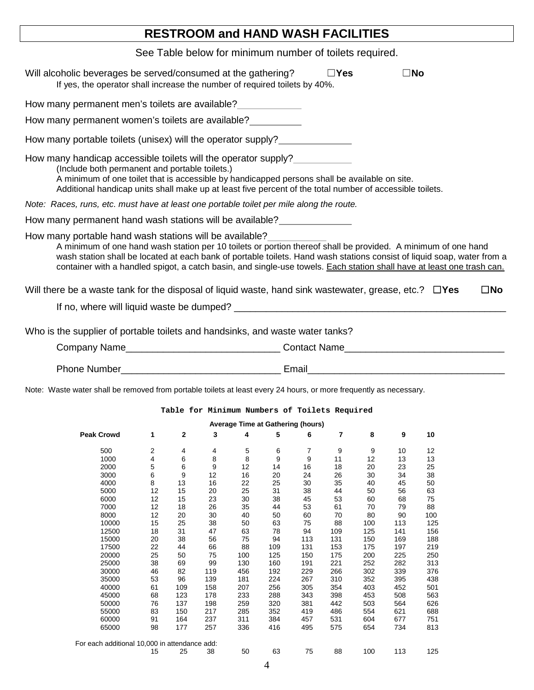## **RESTROOM and HAND WASH FACILITIES**

|                                                                                                                                                                                                                                                                                                                               | See Table below for minimum number of toilets required. |                                    |                                     |                                               |                                      |                                      |                                       |                                       |                                        |                                                                                                                                                                                                                                                   |  |
|-------------------------------------------------------------------------------------------------------------------------------------------------------------------------------------------------------------------------------------------------------------------------------------------------------------------------------|---------------------------------------------------------|------------------------------------|-------------------------------------|-----------------------------------------------|--------------------------------------|--------------------------------------|---------------------------------------|---------------------------------------|----------------------------------------|---------------------------------------------------------------------------------------------------------------------------------------------------------------------------------------------------------------------------------------------------|--|
| Will alcoholic beverages be served/consumed at the gathering?<br>If yes, the operator shall increase the number of required toilets by 40%.                                                                                                                                                                                   |                                                         |                                    |                                     |                                               |                                      |                                      | $\Box$ Yes                            |                                       | $\square$ No                           |                                                                                                                                                                                                                                                   |  |
| How many permanent men's toilets are available?                                                                                                                                                                                                                                                                               |                                                         |                                    |                                     |                                               |                                      |                                      |                                       |                                       |                                        |                                                                                                                                                                                                                                                   |  |
| How many permanent women's toilets are available?                                                                                                                                                                                                                                                                             |                                                         |                                    |                                     |                                               |                                      |                                      |                                       |                                       |                                        |                                                                                                                                                                                                                                                   |  |
| How many portable toilets (unisex) will the operator supply?                                                                                                                                                                                                                                                                  |                                                         |                                    |                                     |                                               |                                      |                                      |                                       |                                       |                                        |                                                                                                                                                                                                                                                   |  |
| How many handicap accessible toilets will the operator supply?<br>(Include both permanent and portable toilets.)<br>A minimum of one toilet that is accessible by handicapped persons shall be available on site.<br>Additional handicap units shall make up at least five percent of the total number of accessible toilets. |                                                         |                                    |                                     |                                               |                                      |                                      |                                       |                                       |                                        |                                                                                                                                                                                                                                                   |  |
| Note: Races, runs, etc. must have at least one portable toilet per mile along the route.                                                                                                                                                                                                                                      |                                                         |                                    |                                     |                                               |                                      |                                      |                                       |                                       |                                        |                                                                                                                                                                                                                                                   |  |
| How many permanent hand wash stations will be available?                                                                                                                                                                                                                                                                      |                                                         |                                    |                                     |                                               |                                      |                                      |                                       |                                       |                                        |                                                                                                                                                                                                                                                   |  |
| How many portable hand wash stations will be available?<br>A minimum of one hand wash station per 10 toilets or portion thereof shall be provided. A minimum of one hand                                                                                                                                                      |                                                         |                                    |                                     |                                               |                                      |                                      |                                       |                                       |                                        | wash station shall be located at each bank of portable toilets. Hand wash stations consist of liquid soap, water from a<br>container with a handled spigot, a catch basin, and single-use towels. Each station shall have at least one trash can. |  |
| Will there be a waste tank for the disposal of liquid waste, hand sink wastewater, grease, etc.? $\square$ Yes                                                                                                                                                                                                                |                                                         |                                    |                                     |                                               |                                      |                                      |                                       |                                       |                                        | $\square$ No                                                                                                                                                                                                                                      |  |
|                                                                                                                                                                                                                                                                                                                               |                                                         |                                    |                                     |                                               |                                      |                                      |                                       |                                       |                                        |                                                                                                                                                                                                                                                   |  |
| Who is the supplier of portable toilets and handsinks, and waste water tanks?                                                                                                                                                                                                                                                 |                                                         |                                    |                                     |                                               |                                      |                                      |                                       |                                       |                                        |                                                                                                                                                                                                                                                   |  |
|                                                                                                                                                                                                                                                                                                                               |                                                         |                                    |                                     |                                               |                                      |                                      |                                       |                                       |                                        |                                                                                                                                                                                                                                                   |  |
|                                                                                                                                                                                                                                                                                                                               |                                                         |                                    |                                     |                                               |                                      |                                      |                                       |                                       |                                        |                                                                                                                                                                                                                                                   |  |
| Note: Waste water shall be removed from portable toilets at least every 24 hours, or more frequently as necessary.                                                                                                                                                                                                            |                                                         |                                    |                                     |                                               |                                      |                                      |                                       |                                       |                                        |                                                                                                                                                                                                                                                   |  |
|                                                                                                                                                                                                                                                                                                                               |                                                         |                                    |                                     | Table for Minimum Numbers of Toilets Required |                                      |                                      |                                       |                                       |                                        |                                                                                                                                                                                                                                                   |  |
|                                                                                                                                                                                                                                                                                                                               |                                                         |                                    |                                     | Average Time at Gathering (hours)             |                                      |                                      |                                       |                                       |                                        |                                                                                                                                                                                                                                                   |  |
| <b>Peak Crowd</b>                                                                                                                                                                                                                                                                                                             |                                                         | 2                                  | 3                                   | 4                                             | 5                                    | 6                                    | 7                                     | 8                                     | 9                                      | 10                                                                                                                                                                                                                                                |  |
| 500<br>1000<br>2000<br>3000<br>4000<br>5000<br>6000                                                                                                                                                                                                                                                                           | 2<br>4<br>5<br>6<br>8<br>12<br>12                       | 4<br>6<br>6<br>9<br>13<br>15<br>15 | 4<br>8<br>9<br>12<br>16<br>20<br>23 | 5<br>8<br>12<br>16<br>22<br>25<br>30          | 6<br>9<br>14<br>20<br>25<br>31<br>38 | 7<br>9<br>16<br>24<br>30<br>38<br>45 | 9<br>11<br>18<br>26<br>35<br>44<br>53 | 9<br>12<br>20<br>30<br>40<br>50<br>60 | 10<br>13<br>23<br>34<br>45<br>56<br>68 | 12<br>13<br>25<br>38<br>50<br>63<br>75                                                                                                                                                                                                            |  |
| 7000                                                                                                                                                                                                                                                                                                                          |                                                         |                                    |                                     |                                               |                                      |                                      |                                       |                                       |                                        |                                                                                                                                                                                                                                                   |  |

| Average Time at Gathering (hours)             |                |             |     |     |     |     |     |     |     |     |
|-----------------------------------------------|----------------|-------------|-----|-----|-----|-----|-----|-----|-----|-----|
| <b>Peak Crowd</b>                             | 1              | $\mathbf 2$ | 3   | 4   | 5   | 6   | 7   | 8   | 9   | 10  |
| 500                                           | $\overline{2}$ | 4           | 4   | 5   | 6   | 7   | 9   | 9   | 10  | 12  |
| 1000                                          | 4              | 6           | 8   | 8   | 9   | 9   | 11  | 12  | 13  | 13  |
| 2000                                          | 5              | 6           | 9   | 12  | 14  | 16  | 18  | 20  | 23  | 25  |
| 3000                                          | 6              | 9           | 12  | 16  | 20  | 24  | 26  | 30  | 34  | 38  |
| 4000                                          | 8              | 13          | 16  | 22  | 25  | 30  | 35  | 40  | 45  | 50  |
| 5000                                          | 12             | 15          | 20  | 25  | 31  | 38  | 44  | 50  | 56  | 63  |
| 6000                                          | 12             | 15          | 23  | 30  | 38  | 45  | 53  | 60  | 68  | 75  |
| 7000                                          | 12             | 18          | 26  | 35  | 44  | 53  | 61  | 70  | 79  | 88  |
| 8000                                          | 12             | 20          | 30  | 40  | 50  | 60  | 70  | 80  | 90  | 100 |
| 10000                                         | 15             | 25          | 38  | 50  | 63  | 75  | 88  | 100 | 113 | 125 |
| 12500                                         | 18             | 31          | 47  | 63  | 78  | 94  | 109 | 125 | 141 | 156 |
| 15000                                         | 20             | 38          | 56  | 75  | 94  | 113 | 131 | 150 | 169 | 188 |
| 17500                                         | 22             | 44          | 66  | 88  | 109 | 131 | 153 | 175 | 197 | 219 |
| 20000                                         | 25             | 50          | 75  | 100 | 125 | 150 | 175 | 200 | 225 | 250 |
| 25000                                         | 38             | 69          | 99  | 130 | 160 | 191 | 221 | 252 | 282 | 313 |
| 30000                                         | 46             | 82          | 119 | 456 | 192 | 229 | 266 | 302 | 339 | 376 |
| 35000                                         | 53             | 96          | 139 | 181 | 224 | 267 | 310 | 352 | 395 | 438 |
| 40000                                         | 61             | 109         | 158 | 207 | 256 | 305 | 354 | 403 | 452 | 501 |
| 45000                                         | 68             | 123         | 178 | 233 | 288 | 343 | 398 | 453 | 508 | 563 |
| 50000                                         | 76             | 137         | 198 | 259 | 320 | 381 | 442 | 503 | 564 | 626 |
| 55000                                         | 83             | 150         | 217 | 285 | 352 | 419 | 486 | 554 | 621 | 688 |
| 60000                                         | 91             | 164         | 237 | 311 | 384 | 457 | 531 | 604 | 677 | 751 |
| 65000                                         | 98             | 177         | 257 | 336 | 416 | 495 | 575 | 654 | 734 | 813 |
| For each additional 10,000 in attendance add: |                |             |     |     |     |     |     |     |     |     |
|                                               | 15             | 25          | 38  | 50  | 63  | 75  | 88  | 100 | 113 | 125 |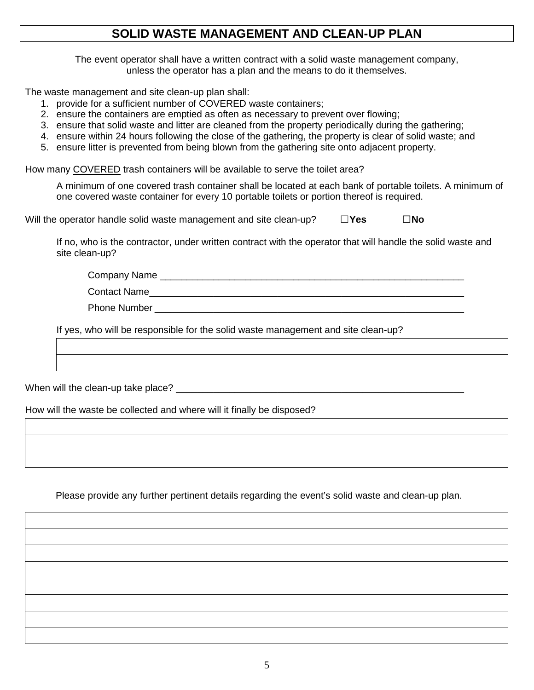#### **SOLID WASTE MANAGEMENT AND CLEAN-UP PLAN**

The event operator shall have a written contract with a solid waste management company, unless the operator has a plan and the means to do it themselves.

The waste management and site clean-up plan shall:

- 1. provide for a sufficient number of COVERED waste containers;
- 2. ensure the containers are emptied as often as necessary to prevent over flowing;
- 3. ensure that solid waste and litter are cleaned from the property periodically during the gathering;
- 4. ensure within 24 hours following the close of the gathering, the property is clear of solid waste; and
- 5. ensure litter is prevented from being blown from the gathering site onto adjacent property.

How many COVERED trash containers will be available to serve the toilet area?

A minimum of one covered trash container shall be located at each bank of portable toilets. A minimum of one covered waste container for every 10 portable toilets or portion thereof is required.

Will the operator handle solid waste management and site clean-up? ☐**Yes** ☐**No**

If no, who is the contractor, under written contract with the operator that will handle the solid waste and site clean-up?

Company Name **Example 20** 

Phone Number **Example 20** 

If yes, who will be responsible for the solid waste management and site clean-up?

Contact Name

When will the clean-up take place?

How will the waste be collected and where will it finally be disposed?

Please provide any further pertinent details regarding the event's solid waste and clean-up plan.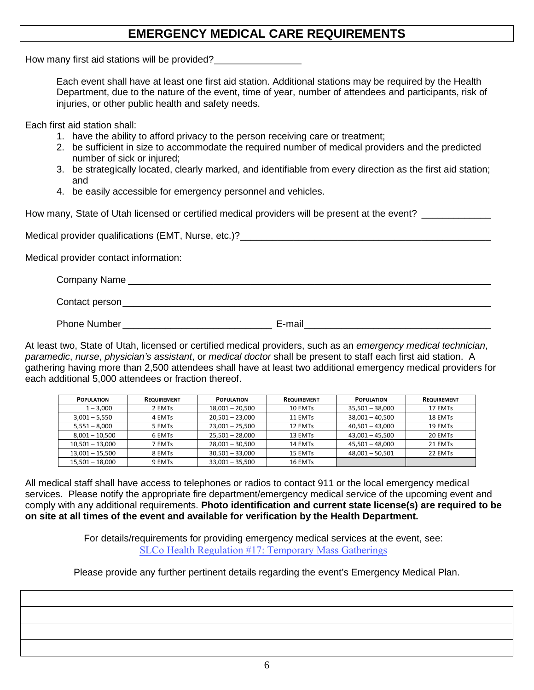#### **EMERGENCY MEDICAL CARE REQUIREMENTS**

How many first aid stations will be provided?

Each event shall have at least one first aid station. Additional stations may be required by the Health Department, due to the nature of the event, time of year, number of attendees and participants, risk of injuries, or other public health and safety needs.

Each first aid station shall:

- 1. have the ability to afford privacy to the person receiving care or treatment;
- 2. be sufficient in size to accommodate the required number of medical providers and the predicted number of sick or injured;
- 3. be strategically located, clearly marked, and identifiable from every direction as the first aid station; and
- 4. be easily accessible for emergency personnel and vehicles.

How many, State of Utah licensed or certified medical providers will be present at the event?

Medical provider qualifications (EMT, Nurse, etc.)?<br>

Medical provider contact information:

| Company Name   |  |  |
|----------------|--|--|
| Contact person |  |  |

Phone Number \_\_\_\_\_\_\_\_\_\_\_\_\_\_\_\_\_\_\_\_\_\_\_\_\_\_\_\_ E-mail\_\_\_\_\_\_\_\_\_\_\_\_\_\_\_\_\_\_\_\_\_\_\_\_\_\_\_\_\_\_\_\_\_\_\_

At least two, State of Utah, licensed or certified medical providers, such as an *emergency medical technician*, *paramedic*, *nurse*, *physician's assistant*, or *medical doctor* shall be present to staff each first aid station. A gathering having more than 2,500 attendees shall have at least two additional emergency medical providers for each additional 5,000 attendees or fraction thereof.

| <b>POPULATION</b> | <b>REQUIREMENT</b> | <b>POPULATION</b> | <b>REQUIREMENT</b> | <b>POPULATION</b> | <b>REQUIREMENT</b> |
|-------------------|--------------------|-------------------|--------------------|-------------------|--------------------|
| $1 - 3,000$       | 2 EMTs             | $18,001 - 20,500$ | 10 EMTs            | $35,501 - 38,000$ | 17 EMTs            |
| $3,001 - 5,550$   | 4 EMTs             | $20,501 - 23,000$ | 11 EMTs            | $38,001 - 40,500$ | 18 EMTs            |
| $5,551 - 8,000$   | 5 EMTs             | $23,001 - 25,500$ | 12 EMTs            | $40,501 - 43,000$ | 19 EMTs            |
| $8,001 - 10,500$  | 6 EMTs             | $25,501 - 28,000$ | 13 EMTs            | $43,001 - 45,500$ | 20 EMTs            |
| $10,501 - 13,000$ | 7 EMTs             | $28,001 - 30,500$ | 14 EMTs            | 45,501 - 48,000   | 21 EMTs            |
| $13,001 - 15,500$ | 8 EMTs             | $30,501 - 33,000$ | 15 EMTs            | $48,001 - 50,501$ | 22 EMTs            |
| $15,501 - 18,000$ | 9 EMTs             | $33,001 - 35,500$ | 16 EMTs            |                   |                    |

All medical staff shall have access to telephones or radios to contact 911 or the local emergency medical services. Please notify the appropriate fire department/emergency medical service of the upcoming event and comply with any additional requirements. **Photo identification and current state license(s) are required to be on site at all times of the event and available for verification by the Health Department.**

> For details/requirements for providing emergency medical services at the event, see: [SLCo Health Regulation #17: Temporary Mass Gatherings](https://slco.org/globalassets/1-site-files/health/regs/massgatherings.pdf)

Please provide any further pertinent details regarding the event's Emergency Medical Plan.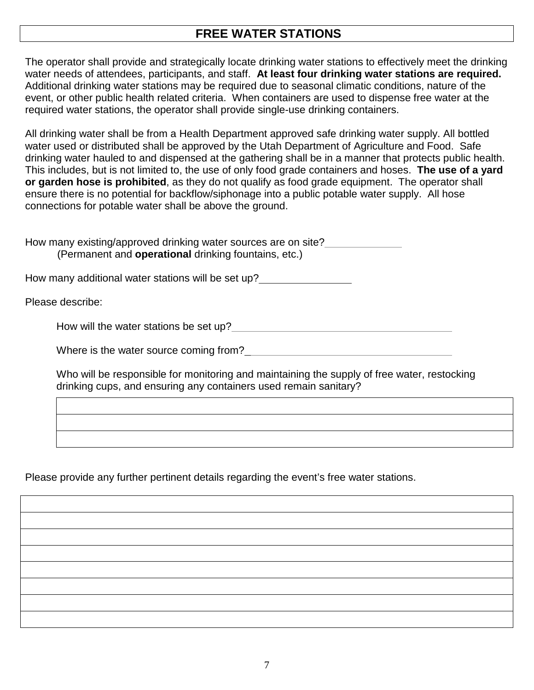## **FREE WATER STATIONS**

The operator shall provide and strategically locate drinking water stations to effectively meet the drinking water needs of attendees, participants, and staff. **At least four drinking water stations are required.** Additional drinking water stations may be required due to seasonal climatic conditions, nature of the event, or other public health related criteria. When containers are used to dispense free water at the required water stations, the operator shall provide single-use drinking containers.

All drinking water shall be from a Health Department approved safe drinking water supply. All bottled water used or distributed shall be approved by the Utah Department of Agriculture and Food. Safe drinking water hauled to and dispensed at the gathering shall be in a manner that protects public health. This includes, but is not limited to, the use of only food grade containers and hoses. **The use of a yard or garden hose is prohibited**, as they do not qualify as food grade equipment. The operator shall ensure there is no potential for backflow/siphonage into a public potable water supply. All hose connections for potable water shall be above the ground.

How many existing/approved drinking water sources are on site? (Permanent and **operational** drinking fountains, etc.)

How many additional water stations will be set up?

Please describe:

How will the water stations be set up?

Where is the water source coming from?<br>
<u>Letting</u>

Who will be responsible for monitoring and maintaining the supply of free water, restocking drinking cups, and ensuring any containers used remain sanitary?

Please provide any further pertinent details regarding the event's free water stations.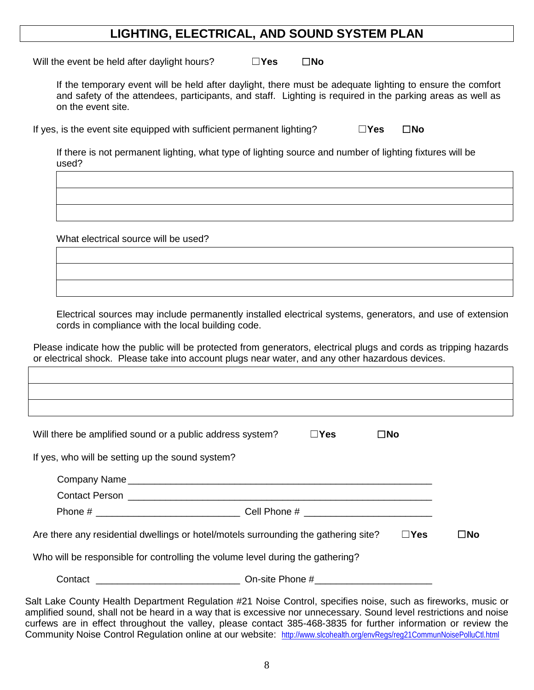#### **LIGHTING, ELECTRICAL, AND SOUND SYSTEM PLAN**

Will the event be held after daylight hours? ☐**Yes** ☐**No**

If the temporary event will be held after daylight, there must be adequate lighting to ensure the comfort and safety of the attendees, participants, and staff. Lighting is required in the parking areas as well as on the event site.

If yes, is the event site equipped with sufficient permanent lighting? ☐**Yes** ☐**No**

If there is not permanent lighting, what type of lighting source and number of lighting fixtures will be used?

What electrical source will be used?

Electrical sources may include permanently installed electrical systems, generators, and use of extension cords in compliance with the local building code.

Please indicate how the public will be protected from generators, electrical plugs and cords as tripping hazards or electrical shock. Please take into account plugs near water, and any other hazardous devices.

| $\square$ No |
|--------------|
|              |
|              |
|              |

Salt Lake County Health Department Regulation #21 Noise Control, specifies noise, such as fireworks, music or amplified sound, shall not be heard in a way that is excessive nor unnecessary. Sound level restrictions and noise curfews are in effect throughout the valley, please contact 385-468-3835 for further information or review the Community Noise Control Regulation online at our website: <http://www.slcohealth.org/envRegs/reg21CommunNoisePolluCtl.html>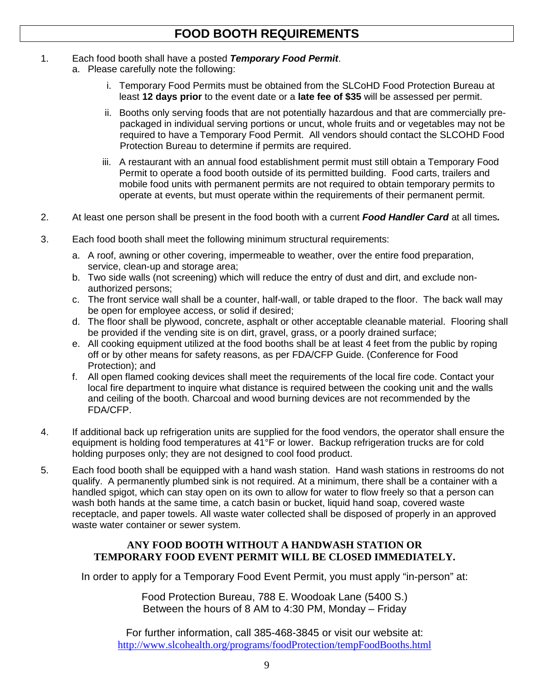- 1. Each food booth shall have a posted *Temporary Food Permit*.
	- a. Please carefully note the following:
		- i. Temporary Food Permits must be obtained from the SLCoHD Food Protection Bureau at least **12 days prior** to the event date or a **late fee of \$35** will be assessed per permit.
		- ii. Booths only serving foods that are not potentially hazardous and that are commercially prepackaged in individual serving portions or uncut, whole fruits and or vegetables may not be required to have a Temporary Food Permit. All vendors should contact the SLCOHD Food Protection Bureau to determine if permits are required.
		- iii. A restaurant with an annual food establishment permit must still obtain a Temporary Food Permit to operate a food booth outside of its permitted building. Food carts, trailers and mobile food units with permanent permits are not required to obtain temporary permits to operate at events, but must operate within the requirements of their permanent permit.
- 2. At least one person shall be present in the food booth with a current *Food Handler Card* at all times*.*
- 3. Each food booth shall meet the following minimum structural requirements:
	- a. A roof, awning or other covering, impermeable to weather, over the entire food preparation, service, clean-up and storage area;
	- b. Two side walls (not screening) which will reduce the entry of dust and dirt, and exclude nonauthorized persons;
	- c. The front service wall shall be a counter, half-wall, or table draped to the floor. The back wall may be open for employee access, or solid if desired;
	- d. The floor shall be plywood, concrete, asphalt or other acceptable cleanable material. Flooring shall be provided if the vending site is on dirt, gravel, grass, or a poorly drained surface;
	- e. All cooking equipment utilized at the food booths shall be at least 4 feet from the public by roping off or by other means for safety reasons, as per FDA/CFP Guide. (Conference for Food Protection); and
	- f. All open flamed cooking devices shall meet the requirements of the local fire code. Contact your local fire department to inquire what distance is required between the cooking unit and the walls and ceiling of the booth. Charcoal and wood burning devices are not recommended by the FDA/CFP.
- 4. If additional back up refrigeration units are supplied for the food vendors, the operator shall ensure the equipment is holding food temperatures at 41°F or lower. Backup refrigeration trucks are for cold holding purposes only; they are not designed to cool food product.
- 5. Each food booth shall be equipped with a hand wash station. Hand wash stations in restrooms do not qualify. A permanently plumbed sink is not required. At a minimum, there shall be a container with a handled spigot, which can stay open on its own to allow for water to flow freely so that a person can wash both hands at the same time, a catch basin or bucket, liquid hand soap, covered waste receptacle, and paper towels. All waste water collected shall be disposed of properly in an approved waste water container or sewer system.

#### **ANY FOOD BOOTH WITHOUT A HANDWASH STATION OR TEMPORARY FOOD EVENT PERMIT WILL BE CLOSED IMMEDIATELY.**

In order to apply for a Temporary Food Event Permit, you must apply "in-person" at:

Food Protection Bureau, 788 E. Woodoak Lane (5400 S.) Between the hours of 8 AM to 4:30 PM, Monday – Friday

For further information, call 385-468-3845 or visit our website at: <http://www.slcohealth.org/programs/foodProtection/tempFoodBooths.html>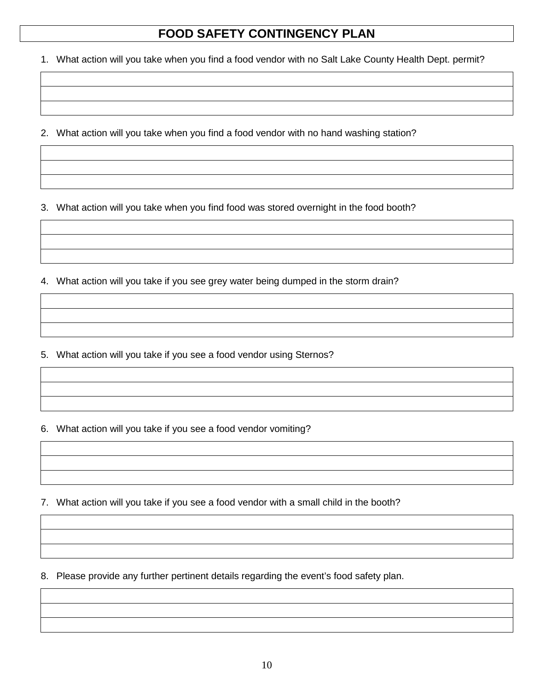## **FOOD SAFETY CONTINGENCY PLAN**

1. What action will you take when you find a food vendor with no Salt Lake County Health Dept. permit?

2. What action will you take when you find a food vendor with no hand washing station?

3. What action will you take when you find food was stored overnight in the food booth?

4. What action will you take if you see grey water being dumped in the storm drain?

5. What action will you take if you see a food vendor using Sternos?

6. What action will you take if you see a food vendor vomiting?

7. What action will you take if you see a food vendor with a small child in the booth?

8. Please provide any further pertinent details regarding the event's food safety plan.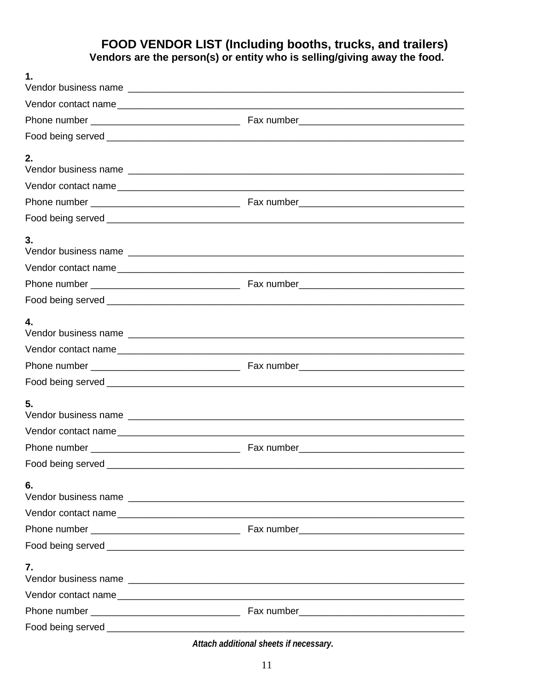# FOOD VENDOR LIST (Including booths, trucks, and trailers)<br>Vendors are the person(s) or entity who is selling/giving away the food.

| 1. |  |
|----|--|
|    |  |
|    |  |
|    |  |
| 2. |  |
|    |  |
|    |  |
|    |  |
|    |  |
| 3. |  |
|    |  |
|    |  |
|    |  |
| 4. |  |
|    |  |
|    |  |
|    |  |
| 5. |  |
|    |  |
|    |  |
|    |  |
| 6. |  |
|    |  |
|    |  |
|    |  |
| 7. |  |
|    |  |
|    |  |
|    |  |

Attach additional sheets if necessary.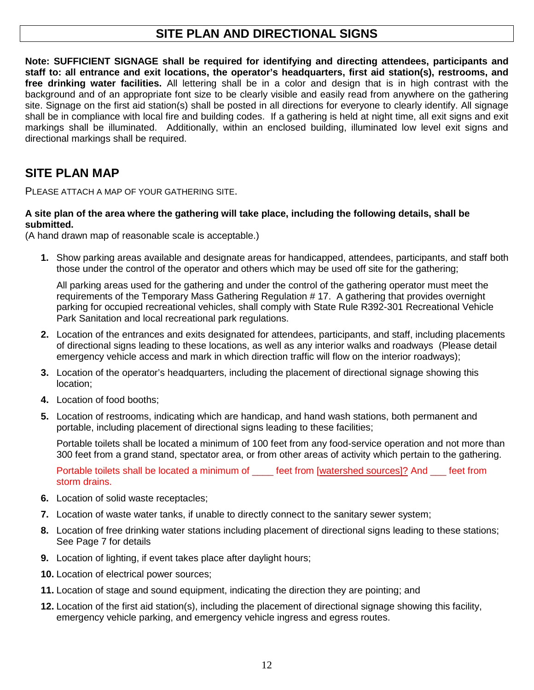## **SITE PLAN AND DIRECTIONAL SIGNS**

**Note: SUFFICIENT SIGNAGE shall be required for identifying and directing attendees, participants and staff to: all entrance and exit locations, the operator's headquarters, first aid station(s), restrooms, and free drinking water facilities.** All lettering shall be in a color and design that is in high contrast with the background and of an appropriate font size to be clearly visible and easily read from anywhere on the gathering site. Signage on the first aid station(s) shall be posted in all directions for everyone to clearly identify. All signage shall be in compliance with local fire and building codes. If a gathering is held at night time, all exit signs and exit markings shall be illuminated. Additionally, within an enclosed building, illuminated low level exit signs and directional markings shall be required.

## **SITE PLAN MAP**

PLEASE ATTACH A MAP OF YOUR GATHERING SITE.

#### **A site plan of the area where the gathering will take place, including the following details, shall be submitted.**

(A hand drawn map of reasonable scale is acceptable.)

**1.** Show parking areas available and designate areas for handicapped, attendees, participants, and staff both those under the control of the operator and others which may be used off site for the gathering;

All parking areas used for the gathering and under the control of the gathering operator must meet the requirements of the Temporary Mass Gathering Regulation # 17. A gathering that provides overnight parking for occupied recreational vehicles, shall comply with State Rule R392-301 Recreational Vehicle Park Sanitation and local recreational park regulations.

- **2.** Location of the entrances and exits designated for attendees, participants, and staff, including placements of directional signs leading to these locations, as well as any interior walks and roadways (Please detail emergency vehicle access and mark in which direction traffic will flow on the interior roadways);
- **3.** Location of the operator's headquarters, including the placement of directional signage showing this location;
- **4.** Location of food booths;
- **5.** Location of restrooms, indicating which are handicap, and hand wash stations, both permanent and portable, including placement of directional signs leading to these facilities;

Portable toilets shall be located a minimum of 100 feet from any food-service operation and not more than 300 feet from a grand stand, spectator area, or from other areas of activity which pertain to the gathering.

Portable toilets shall be located a minimum of \_\_\_\_ feet from [watershed sources]? And \_\_\_ feet from storm drains.

- **6.** Location of solid waste receptacles;
- **7.** Location of waste water tanks, if unable to directly connect to the sanitary sewer system;
- **8.** Location of free drinking water stations including placement of directional signs leading to these stations; See Page 7 for details
- **9.** Location of lighting, if event takes place after daylight hours;
- **10.** Location of electrical power sources;
- **11.** Location of stage and sound equipment, indicating the direction they are pointing; and
- **12.** Location of the first aid station(s), including the placement of directional signage showing this facility, emergency vehicle parking, and emergency vehicle ingress and egress routes.